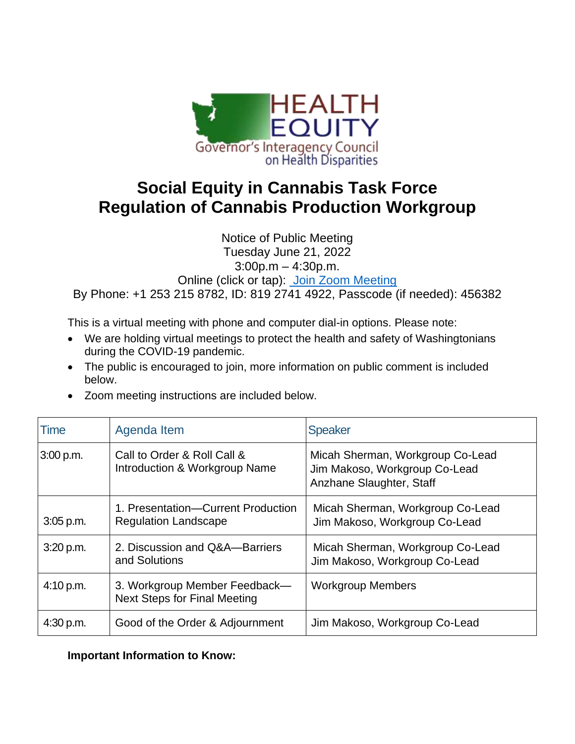

## **Social Equity in Cannabis Task Force Regulation of Cannabis Production Workgroup**

Notice of Public Meeting Tuesday June 21, 2022 3:00p.m – 4:30p.m. Online (click or tap): [Join Zoom Meeting](https://us02web.zoom.us/j/81927414922?pwd=LzRQR0E4S0FUeGdWai82NldaanUwZz09) By Phone: +1 253 215 8782, ID: 819 2741 4922, Passcode (if needed): 456382

This is a virtual meeting with phone and computer dial-in options. Please note:

- We are holding virtual meetings to protect the health and safety of Washingtonians during the COVID-19 pandemic.
- The public is encouraged to join, more information on public comment is included below.
- Zoom meeting instructions are included below.

| Time        | Agenda Item                                                          | <b>Speaker</b>                                                                                |
|-------------|----------------------------------------------------------------------|-----------------------------------------------------------------------------------------------|
| 3:00 p.m.   | Call to Order & Roll Call &<br>Introduction & Workgroup Name         | Micah Sherman, Workgroup Co-Lead<br>Jim Makoso, Workgroup Co-Lead<br>Anzhane Slaughter, Staff |
| $3:05$ p.m. | 1. Presentation-Current Production<br><b>Regulation Landscape</b>    | Micah Sherman, Workgroup Co-Lead<br>Jim Makoso, Workgroup Co-Lead                             |
| 3:20 p.m.   | 2. Discussion and Q&A—Barriers<br>and Solutions                      | Micah Sherman, Workgroup Co-Lead<br>Jim Makoso, Workgroup Co-Lead                             |
| 4:10 p.m.   | 3. Workgroup Member Feedback-<br><b>Next Steps for Final Meeting</b> | <b>Workgroup Members</b>                                                                      |
| 4:30 p.m.   | Good of the Order & Adjournment                                      | Jim Makoso, Workgroup Co-Lead                                                                 |

**Important Information to Know:**